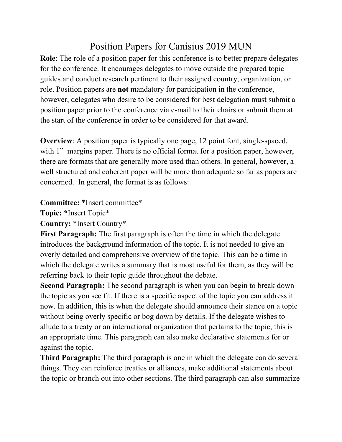## Position Papers for Canisius 2019 MUN

**Role**: The role of a position paper for this conference is to better prepare delegates for the conference. It encourages delegates to move outside the prepared topic guides and conduct research pertinent to their assigned country, organization, or role. Position papers are **not** mandatory for participation in the conference, however, delegates who desire to be considered for best delegation must submit a position paper prior to the conference via e-mail to their chairs or submit them at the start of the conference in order to be considered for that award.

**Overview**: A position paper is typically one page, 12 point font, single-spaced, with 1" margins paper. There is no official format for a position paper, however, there are formats that are generally more used than others. In general, however, a well structured and coherent paper will be more than adequate so far as papers are concerned. In general, the format is as follows:

## **Committee:** \*Insert committee\*

**Topic: \***Insert Topic\*

**Country:** \*Insert Country\*

**First Paragraph:** The first paragraph is often the time in which the delegate introduces the background information of the topic. It is not needed to give an overly detailed and comprehensive overview of the topic. This can be a time in which the delegate writes a summary that is most useful for them, as they will be referring back to their topic guide throughout the debate.

**Second Paragraph:** The second paragraph is when you can begin to break down the topic as you see fit. If there is a specific aspect of the topic you can address it now. In addition, this is when the delegate should announce their stance on a topic without being overly specific or bog down by details. If the delegate wishes to allude to a treaty or an international organization that pertains to the topic, this is an appropriate time. This paragraph can also make declarative statements for or against the topic.

**Third Paragraph:** The third paragraph is one in which the delegate can do several things. They can reinforce treaties or alliances, make additional statements about the topic or branch out into other sections. The third paragraph can also summarize